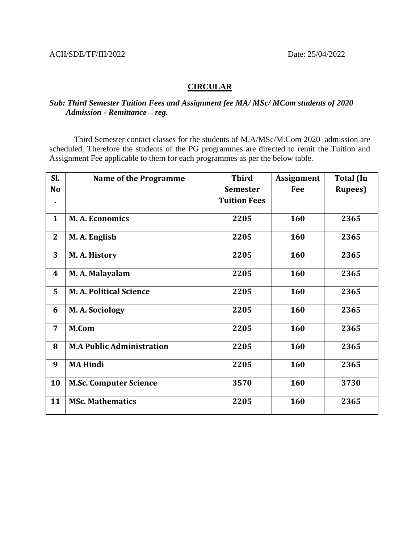## **CIRCULAR**

## *Sub: Third Semester Tuition Fees and Assignment fee MA/ MSc/ MCom students of 2020 Admission - Remittance – reg.*

Third Semester contact classes for the students of M.A/MSc/M.Com 2020 admission are scheduled. Therefore the students of the PG programmes are directed to remit the Tuition and Assignment Fee applicable to them for each programmes as per the below table.

| Sl.              | <b>Name of the Programme</b>     | <b>Third</b>        | <b>Assignment</b> | <b>Total</b> (In |
|------------------|----------------------------------|---------------------|-------------------|------------------|
| No               |                                  | <b>Semester</b>     | Fee               | <b>Rupees</b> )  |
| ٠                |                                  | <b>Tuition Fees</b> |                   |                  |
| $\mathbf{1}$     | <b>M.A. Economics</b>            | 2205                | 160               | 2365             |
| $\overline{2}$   | M. A. English                    | 2205                | 160               | 2365             |
| 3                | M. A. History                    | 2205                | 160               | 2365             |
| $\boldsymbol{4}$ | M. A. Malayalam                  | 2205                | 160               | 2365             |
| 5                | <b>M.A. Political Science</b>    | 2205                | 160               | 2365             |
| 6                | M. A. Sociology                  | 2205                | 160               | 2365             |
| $\overline{7}$   | M.Com                            | 2205                | 160               | 2365             |
| 8                | <b>M.A Public Administration</b> | 2205                | 160               | 2365             |
| 9                | <b>MA Hindi</b>                  | 2205                | 160               | 2365             |
| 10               | <b>M.Sc. Computer Science</b>    | 3570                | 160               | 3730             |
| 11               | <b>MSc. Mathematics</b>          | 2205                | 160               | 2365             |